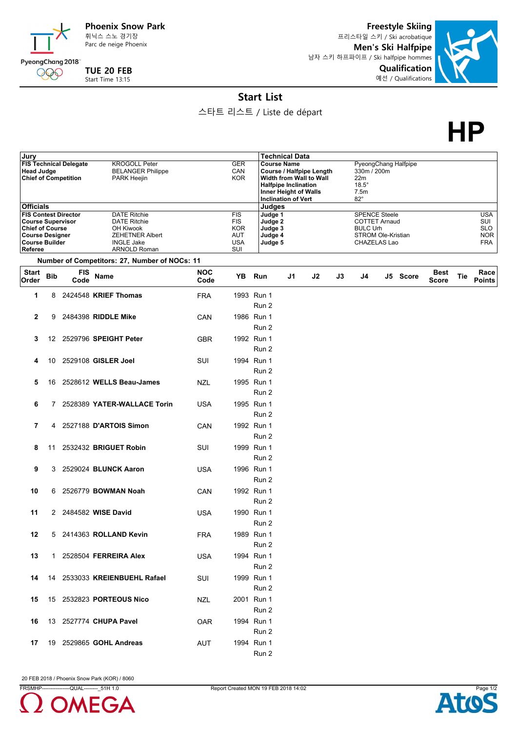

**TUE 20 FEB** Start Time 13:15

PyeongChang 2018 000

Parc de neige Phoenix

**Freestyle Skiing** 프리스타일 스키 / Ski acrobatique **Men's Ski Halfpipe** 남자 스키 하프파이프 / Ski halfpipe hommes **Qualification** 예선 / Qualifications



## **Start List**

스타트 리스트 / Liste de départ

**HP**

| Jury                                                                                                                                            |            |                    |                                                                                                                               |                    |                                                                    |       | <b>Technical Data</b>                                                                                                                                                         |    |    |    |                                                                                                       |  |                      |                             |     |                                                             |
|-------------------------------------------------------------------------------------------------------------------------------------------------|------------|--------------------|-------------------------------------------------------------------------------------------------------------------------------|--------------------|--------------------------------------------------------------------|-------|-------------------------------------------------------------------------------------------------------------------------------------------------------------------------------|----|----|----|-------------------------------------------------------------------------------------------------------|--|----------------------|-----------------------------|-----|-------------------------------------------------------------|
| <b>FIS Technical Delegate</b><br><b>Head Judge</b><br><b>Chief of Competition</b>                                                               |            |                    | <b>KROGOLL Peter</b><br><b>BELANGER Philippe</b><br>PARK Heejin                                                               |                    |                                                                    |       | <b>Course Name</b><br><b>Course / Halfpipe Length</b><br>Width from Wall to Wall<br><b>Halfpipe Inclination</b><br><b>Inner Height of Walls</b><br><b>Inclination of Vert</b> |    |    |    | 330m / 200m<br>22m<br>$18.5^\circ$<br>7.5m<br>$82^\circ$                                              |  | PyeongChang Halfpipe |                             |     |                                                             |
| <b>Officials</b>                                                                                                                                |            |                    |                                                                                                                               |                    |                                                                    |       | Judges                                                                                                                                                                        |    |    |    |                                                                                                       |  |                      |                             |     |                                                             |
| <b>FIS Contest Director</b><br><b>Course Supervisor</b><br><b>Chief of Course</b><br><b>Course Designer</b><br><b>Course Builder</b><br>Referee |            |                    | <b>DATE Ritchie</b><br><b>DATE Ritchie</b><br>OH Kiwook<br><b>ZEHETNER Albert</b><br><b>INGLE Jake</b><br><b>ARNOLD Roman</b> |                    | <b>FIS</b><br><b>FIS</b><br><b>KOR</b><br>AUT<br><b>USA</b><br>SUI |       | Judge 1<br>Judge 2<br>Judge 3<br>Judge 4<br>Judge 5                                                                                                                           |    |    |    | <b>SPENCE Steele</b><br><b>COTTET Arnaud</b><br><b>BULC Urh</b><br>STROM Ole-Kristian<br>CHAZELAS Lao |  |                      |                             |     | <b>USA</b><br>SUI<br><b>SLO</b><br><b>NOR</b><br><b>FRA</b> |
|                                                                                                                                                 |            |                    | Number of Competitors: 27, Number of NOCs: 11                                                                                 |                    |                                                                    |       |                                                                                                                                                                               |    |    |    |                                                                                                       |  |                      |                             |     |                                                             |
| <b>Start</b><br>Order                                                                                                                           | <b>Bib</b> | <b>FIS</b><br>Code | Name                                                                                                                          | <b>NOC</b><br>Code | YB Run                                                             |       |                                                                                                                                                                               | J1 | J2 | J3 | J4                                                                                                    |  | J5 Score             | <b>Best</b><br><b>Score</b> | Tie | Race<br><b>Points</b>                                       |
| 1                                                                                                                                               | 8          |                    | 2424548 KRIEF Thomas                                                                                                          | <b>FRA</b>         | 1993 Run 1                                                         |       | Run 2                                                                                                                                                                         |    |    |    |                                                                                                       |  |                      |                             |     |                                                             |
| $\mathbf{2}$                                                                                                                                    | 9          |                    | 2484398 RIDDLE Mike                                                                                                           | CAN                | 1986 Run 1                                                         |       | Run 2                                                                                                                                                                         |    |    |    |                                                                                                       |  |                      |                             |     |                                                             |
| 3                                                                                                                                               | 12         |                    | 2529796 SPEIGHT Peter                                                                                                         | <b>GBR</b>         | 1992 Run 1                                                         |       | Run 2                                                                                                                                                                         |    |    |    |                                                                                                       |  |                      |                             |     |                                                             |
| 4                                                                                                                                               | 10         |                    | 2529108 GISLER Joel                                                                                                           | SUI                | 1994 Run 1                                                         |       | Run 2                                                                                                                                                                         |    |    |    |                                                                                                       |  |                      |                             |     |                                                             |
| 5                                                                                                                                               |            |                    | 16 2528612 WELLS Beau-James                                                                                                   | <b>NZL</b>         | 1995 Run 1                                                         |       | Run 2                                                                                                                                                                         |    |    |    |                                                                                                       |  |                      |                             |     |                                                             |
| 6                                                                                                                                               | 7          |                    | 2528389 YATER-WALLACE Torin                                                                                                   | <b>USA</b>         | 1995 Run 1                                                         |       | Run 2                                                                                                                                                                         |    |    |    |                                                                                                       |  |                      |                             |     |                                                             |
| 7                                                                                                                                               | 4          |                    | 2527188 D'ARTOIS Simon                                                                                                        | CAN                | 1992 Run 1                                                         |       | Run 2                                                                                                                                                                         |    |    |    |                                                                                                       |  |                      |                             |     |                                                             |
| 8                                                                                                                                               | 11         |                    | 2532432 BRIGUET Robin                                                                                                         | SUI                | 1999 Run 1                                                         |       | Run 2                                                                                                                                                                         |    |    |    |                                                                                                       |  |                      |                             |     |                                                             |
| 9                                                                                                                                               | 3          |                    | 2529024 BLUNCK Aaron                                                                                                          | <b>USA</b>         | 1996 Run 1                                                         |       | Run 2                                                                                                                                                                         |    |    |    |                                                                                                       |  |                      |                             |     |                                                             |
| 10                                                                                                                                              | 6          |                    | 2526779 <b>BOWMAN Noah</b>                                                                                                    | CAN                | 1992 Run 1                                                         |       | Run 2                                                                                                                                                                         |    |    |    |                                                                                                       |  |                      |                             |     |                                                             |
| 11<br>12                                                                                                                                        |            |                    | 2 2484582 WISE David<br>5 2414363 ROLLAND Kevin                                                                               | <b>USA</b>         | 1990 Run 1                                                         | Run 2 |                                                                                                                                                                               |    |    |    |                                                                                                       |  |                      |                             |     |                                                             |
| 13                                                                                                                                              |            |                    | 1 2528504 FERREIRA Alex                                                                                                       | FRA<br><b>USA</b>  | 1989 Run 1<br>1994 Run 1                                           |       | Run 2                                                                                                                                                                         |    |    |    |                                                                                                       |  |                      |                             |     |                                                             |
| 14                                                                                                                                              |            |                    | 14 2533033 KREIENBUEHL Rafael                                                                                                 | SUI                | 1999 Run 1                                                         | Run 2 |                                                                                                                                                                               |    |    |    |                                                                                                       |  |                      |                             |     |                                                             |
| 15                                                                                                                                              |            |                    | 15 2532823 <b>PORTEOUS Nico</b>                                                                                               | NZL                | 2001 Run 1                                                         | Run 2 |                                                                                                                                                                               |    |    |    |                                                                                                       |  |                      |                             |     |                                                             |
| 16                                                                                                                                              |            |                    | 13 2527774 CHUPA Pavel                                                                                                        | <b>OAR</b>         | 1994 Run 1                                                         | Run 2 |                                                                                                                                                                               |    |    |    |                                                                                                       |  |                      |                             |     |                                                             |
| 17                                                                                                                                              |            |                    | 19 2529865 GOHL Andreas                                                                                                       | AUT                | 1994 Run 1                                                         | Run 2 |                                                                                                                                                                               |    |    |    |                                                                                                       |  |                      |                             |     |                                                             |
|                                                                                                                                                 |            |                    |                                                                                                                               |                    |                                                                    |       |                                                                                                                                                                               |    |    |    |                                                                                                       |  |                      |                             |     |                                                             |

20 FEB 2018 / Phoenix Snow Park (KOR) / 8060



Run 2